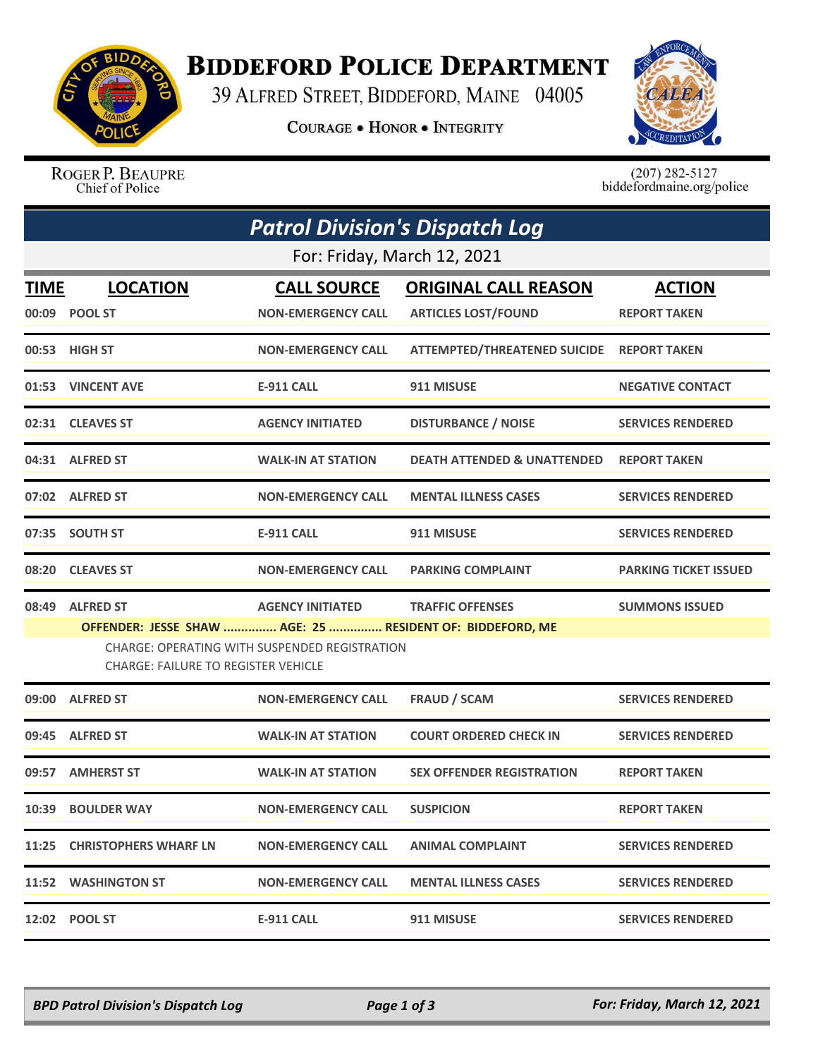

## **BIDDEFORD POLICE DEPARTMENT**

39 ALFRED STREET, BIDDEFORD, MAINE 04005

**COURAGE . HONOR . INTEGRITY** 



ROGER P. BEAUPRE Chief of Police

 $(207)$  282-5127<br>biddefordmaine.org/police

| <b>Patrol Division's Dispatch Log</b> |                                                                                                                                                          |                           |                                           |                              |  |  |  |  |
|---------------------------------------|----------------------------------------------------------------------------------------------------------------------------------------------------------|---------------------------|-------------------------------------------|------------------------------|--|--|--|--|
|                                       | For: Friday, March 12, 2021                                                                                                                              |                           |                                           |                              |  |  |  |  |
| TIME                                  | <b>LOCATION</b>                                                                                                                                          | <b>CALL SOURCE</b>        | <b>ORIGINAL CALL REASON</b>               | <b>ACTION</b>                |  |  |  |  |
|                                       | 00:09 POOL ST                                                                                                                                            | <b>NON-EMERGENCY CALL</b> | <b>ARTICLES LOST/FOUND</b>                | <b>REPORT TAKEN</b>          |  |  |  |  |
|                                       | 00:53 HIGH ST                                                                                                                                            | <b>NON-EMERGENCY CALL</b> | ATTEMPTED/THREATENED SUICIDE REPORT TAKEN |                              |  |  |  |  |
|                                       | 01:53 VINCENT AVE                                                                                                                                        | <b>E-911 CALL</b>         | 911 MISUSE                                | <b>NEGATIVE CONTACT</b>      |  |  |  |  |
|                                       | 02:31 CLEAVES ST                                                                                                                                         | <b>AGENCY INITIATED</b>   | <b>DISTURBANCE / NOISE</b>                | <b>SERVICES RENDERED</b>     |  |  |  |  |
|                                       | 04:31 ALFRED ST                                                                                                                                          | <b>WALK-IN AT STATION</b> | <b>DEATH ATTENDED &amp; UNATTENDED</b>    | <b>REPORT TAKEN</b>          |  |  |  |  |
|                                       | 07:02 ALFRED ST                                                                                                                                          | <b>NON-EMERGENCY CALL</b> | <b>MENTAL ILLNESS CASES</b>               | <b>SERVICES RENDERED</b>     |  |  |  |  |
|                                       | 07:35 SOUTH ST                                                                                                                                           | <b>E-911 CALL</b>         | 911 MISUSE                                | <b>SERVICES RENDERED</b>     |  |  |  |  |
|                                       | 08:20 CLEAVES ST                                                                                                                                         | <b>NON-EMERGENCY CALL</b> | <b>PARKING COMPLAINT</b>                  | <b>PARKING TICKET ISSUED</b> |  |  |  |  |
|                                       | 08:49 ALFRED ST                                                                                                                                          | <b>AGENCY INITIATED</b>   | <b>TRAFFIC OFFENSES</b>                   | <b>SUMMONS ISSUED</b>        |  |  |  |  |
|                                       | OFFENDER: JESSE SHAW  AGE: 25  RESIDENT OF: BIDDEFORD, ME<br>CHARGE: OPERATING WITH SUSPENDED REGISTRATION<br><b>CHARGE: FAILURE TO REGISTER VEHICLE</b> |                           |                                           |                              |  |  |  |  |
| 09:00                                 | <b>ALFRED ST</b>                                                                                                                                         | <b>NON-EMERGENCY CALL</b> | <b>FRAUD / SCAM</b>                       | <b>SERVICES RENDERED</b>     |  |  |  |  |
|                                       | 09:45 ALFRED ST                                                                                                                                          | <b>WALK-IN AT STATION</b> | <b>COURT ORDERED CHECK IN</b>             | <b>SERVICES RENDERED</b>     |  |  |  |  |
|                                       | 09:57 AMHERST ST                                                                                                                                         | <b>WALK-IN AT STATION</b> | <b>SEX OFFENDER REGISTRATION</b>          | <b>REPORT TAKEN</b>          |  |  |  |  |
|                                       | 10:39 BOULDER WAY                                                                                                                                        | <b>NON-EMERGENCY CALL</b> | <b>SUSPICION</b>                          | <b>REPORT TAKEN</b>          |  |  |  |  |
|                                       | 11:25 CHRISTOPHERS WHARF LN                                                                                                                              | <b>NON-EMERGENCY CALL</b> | <b>ANIMAL COMPLAINT</b>                   | <b>SERVICES RENDERED</b>     |  |  |  |  |
|                                       | 11:52 WASHINGTON ST                                                                                                                                      | <b>NON-EMERGENCY CALL</b> | <b>MENTAL ILLNESS CASES</b>               | <b>SERVICES RENDERED</b>     |  |  |  |  |
|                                       | 12:02 POOL ST                                                                                                                                            | <b>E-911 CALL</b>         | 911 MISUSE                                | <b>SERVICES RENDERED</b>     |  |  |  |  |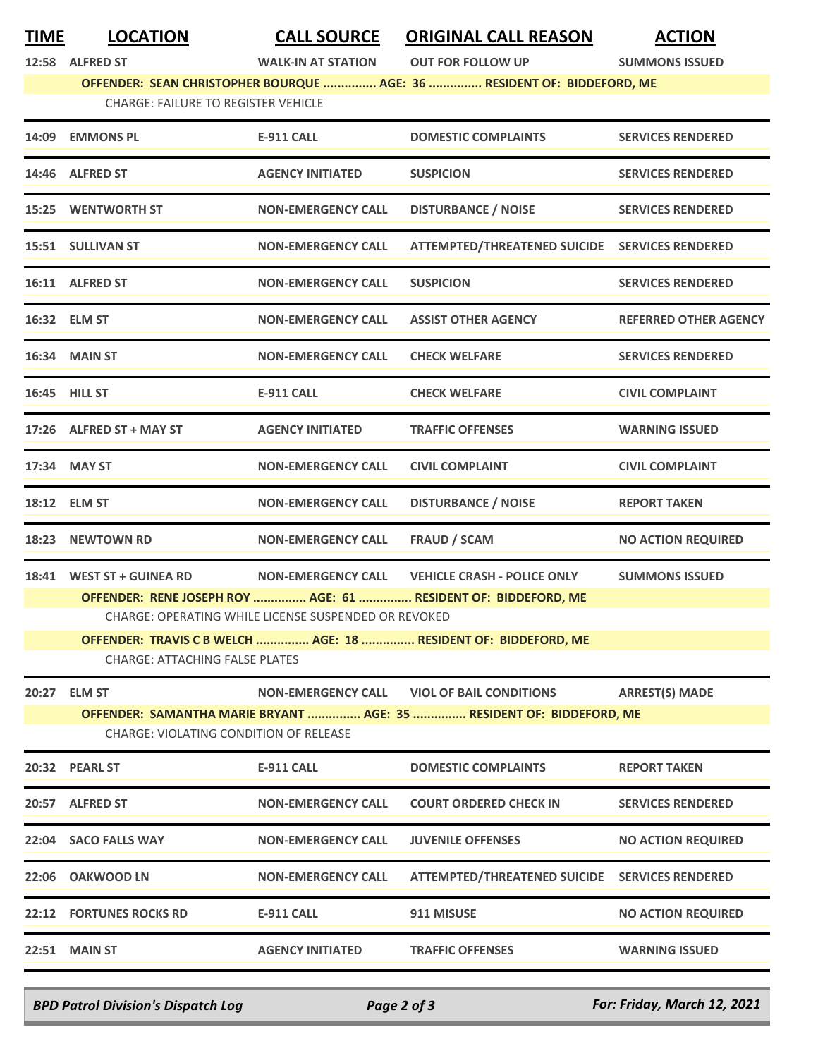**TIME LOCATION CALL SOURCE ORIGINAL CALL REASON ACTION**

**12:58 ALFRED ST WALK-IN AT STATION OUT FOR FOLLOW UP SUMMONS ISSUED**

## **OFFENDER: SEAN CHRISTOPHER BOURQUE ............... AGE: 36 ............... RESIDENT OF: BIDDEFORD, ME**

CHARGE: FAILURE TO REGISTER VEHICLE

|       | 14:09 EMMONS PL                                                      | <b>E-911 CALL</b>                                    | <b>DOMESTIC COMPLAINTS</b>                                      | <b>SERVICES RENDERED</b>     |  |  |  |
|-------|----------------------------------------------------------------------|------------------------------------------------------|-----------------------------------------------------------------|------------------------------|--|--|--|
|       | 14:46 ALFRED ST                                                      | <b>AGENCY INITIATED</b>                              | <b>SUSPICION</b>                                                | <b>SERVICES RENDERED</b>     |  |  |  |
|       | 15:25 WENTWORTH ST                                                   | <b>NON-EMERGENCY CALL</b>                            | <b>DISTURBANCE / NOISE</b>                                      | <b>SERVICES RENDERED</b>     |  |  |  |
|       | 15:51 SULLIVAN ST                                                    | <b>NON-EMERGENCY CALL</b>                            | ATTEMPTED/THREATENED SUICIDE SERVICES RENDERED                  |                              |  |  |  |
|       | 16:11 ALFRED ST                                                      | <b>NON-EMERGENCY CALL</b>                            | <b>SUSPICION</b>                                                | <b>SERVICES RENDERED</b>     |  |  |  |
|       | 16:32 ELM ST                                                         | <b>NON-EMERGENCY CALL</b>                            | <b>ASSIST OTHER AGENCY</b>                                      | <b>REFERRED OTHER AGENCY</b> |  |  |  |
|       | 16:34 MAIN ST                                                        | <b>NON-EMERGENCY CALL</b>                            | <b>CHECK WELFARE</b>                                            | <b>SERVICES RENDERED</b>     |  |  |  |
|       | 16:45 HILL ST                                                        | <b>E-911 CALL</b>                                    | <b>CHECK WELFARE</b>                                            | <b>CIVIL COMPLAINT</b>       |  |  |  |
|       | 17:26 ALFRED ST + MAY ST                                             | <b>AGENCY INITIATED</b>                              | <b>TRAFFIC OFFENSES</b>                                         | <b>WARNING ISSUED</b>        |  |  |  |
|       | 17:34 MAY ST                                                         | <b>NON-EMERGENCY CALL</b>                            | <b>CIVIL COMPLAINT</b>                                          | <b>CIVIL COMPLAINT</b>       |  |  |  |
|       | 18:12 ELM ST                                                         | <b>NON-EMERGENCY CALL</b>                            | <b>DISTURBANCE / NOISE</b>                                      | <b>REPORT TAKEN</b>          |  |  |  |
|       | 18:23 NEWTOWN RD                                                     | <b>NON-EMERGENCY CALL</b>                            | <b>FRAUD / SCAM</b>                                             | <b>NO ACTION REQUIRED</b>    |  |  |  |
|       | 18:41 WEST ST + GUINEA RD                                            |                                                      | NON-EMERGENCY CALL VEHICLE CRASH - POLICE ONLY                  | <b>SUMMONS ISSUED</b>        |  |  |  |
|       |                                                                      |                                                      | OFFENDER: RENE JOSEPH ROY  AGE: 61  RESIDENT OF: BIDDEFORD, ME  |                              |  |  |  |
|       |                                                                      | CHARGE: OPERATING WHILE LICENSE SUSPENDED OR REVOKED |                                                                 |                              |  |  |  |
|       |                                                                      |                                                      | OFFENDER: TRAVIS C B WELCH  AGE: 18  RESIDENT OF: BIDDEFORD, ME |                              |  |  |  |
|       | <b>CHARGE: ATTACHING FALSE PLATES</b>                                |                                                      |                                                                 |                              |  |  |  |
|       | 20:27 ELM ST                                                         |                                                      | NON-EMERGENCY CALL VIOL OF BAIL CONDITIONS                      | <b>ARREST(S) MADE</b>        |  |  |  |
|       | OFFENDER: SAMANTHA MARIE BRYANT  AGE: 35  RESIDENT OF: BIDDEFORD, ME |                                                      |                                                                 |                              |  |  |  |
|       | CHARGE: VIOLATING CONDITION OF RELEASE                               |                                                      |                                                                 |                              |  |  |  |
|       | 20:32 PEARL ST                                                       | <b>E-911 CALL</b>                                    | <b>DOMESTIC COMPLAINTS</b>                                      | <b>REPORT TAKEN</b>          |  |  |  |
|       | 20:57 ALFRED ST                                                      | <b>NON-EMERGENCY CALL</b>                            | <b>COURT ORDERED CHECK IN</b>                                   | <b>SERVICES RENDERED</b>     |  |  |  |
|       | 22:04 SACO FALLS WAY                                                 | NON-EMERGENCY CALL                                   | <b>JUVENILE OFFENSES</b>                                        | <b>NO ACTION REQUIRED</b>    |  |  |  |
| 22:06 | <b>OAKWOOD LN</b>                                                    | <b>NON-EMERGENCY CALL</b>                            | ATTEMPTED/THREATENED SUICIDE SERVICES RENDERED                  |                              |  |  |  |
|       | <b>22:12 FORTUNES ROCKS RD</b>                                       | <b>E-911 CALL</b>                                    | 911 MISUSE                                                      | <b>NO ACTION REQUIRED</b>    |  |  |  |
| 22:51 | <b>MAIN ST</b>                                                       | <b>AGENCY INITIATED</b>                              | <b>TRAFFIC OFFENSES</b>                                         | <b>WARNING ISSUED</b>        |  |  |  |
|       |                                                                      |                                                      |                                                                 |                              |  |  |  |

*BPD Patrol Division's Dispatch Log Page 2 of 3 For: Friday, March 12, 2021*